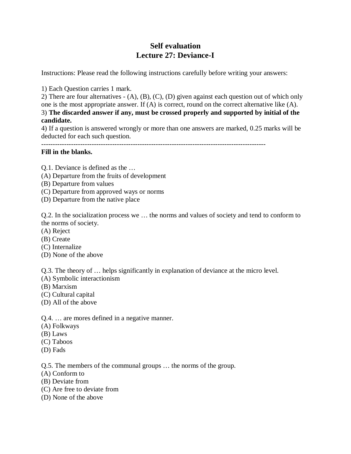## **Self evaluation Lecture 27: Deviance-I**

Instructions: Please read the following instructions carefully before writing your answers:

1) Each Question carries 1 mark.

2) There are four alternatives - (A), (B), (C), (D) given against each question out of which only one is the most appropriate answer. If (A) is correct, round on the correct alternative like (A). 3) **The discarded answer if any, must be crossed properly and supported by initial of the candidate.**

4) If a question is answered wrongly or more than one answers are marked, 0.25 marks will be deducted for each such question.

--------------------------------------------------------------------------------------------------

## **Fill in the blanks.**

Q.1. Deviance is defined as the …

- (A) Departure from the fruits of development
- (B) Departure from values
- (C) Departure from approved ways or norms
- (D) Departure from the native place

Q.2. In the socialization process we … the norms and values of society and tend to conform to the norms of society.

- (A) Reject
- (B) Create
- (C) Internalize
- (D) None of the above

Q.3. The theory of … helps significantly in explanation of deviance at the micro level.

- (A) Symbolic interactionism
- (B) Marxism
- (C) Cultural capital
- (D) All of the above

Q.4. … are mores defined in a negative manner.

- (A) Folkways
- (B) Laws
- (C) Taboos
- (D) Fads

Q.5. The members of the communal groups … the norms of the group.

- (A) Conform to
- (B) Deviate from
- (C) Are free to deviate from
- (D) None of the above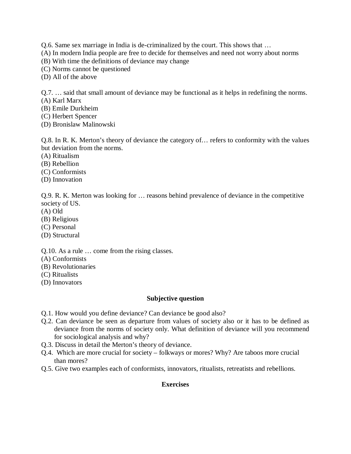Q.6. Same sex marriage in India is de-criminalized by the court. This shows that …

(A) In modern India people are free to decide for themselves and need not worry about norms

(B) With time the definitions of deviance may change

(C) Norms cannot be questioned

(D) All of the above

Q.7. … said that small amount of deviance may be functional as it helps in redefining the norms.

(A) Karl Marx

(B) Emile Durkheim

(C) Herbert Spencer

(D) Bronislaw Malinowski

Q.8. In R. K. Merton's theory of deviance the category of… refers to conformity with the values but deviation from the norms.

(A) Ritualism

(B) Rebellion

(C) Conformists

(D) Innovation

Q.9. R. K. Merton was looking for … reasons behind prevalence of deviance in the competitive society of US.

(A) Old

(B) Religious

(C) Personal

(D) Structural

Q.10. As a rule … come from the rising classes.

(A) Conformists

(B) Revolutionaries

(C) Ritualists

(D) Innovators

## **Subjective question**

Q.1. How would you define deviance? Can deviance be good also?

- Q.2. Can deviance be seen as departure from values of society also or it has to be defined as deviance from the norms of society only. What definition of deviance will you recommend for sociological analysis and why?
- Q.3. Discuss in detail the Merton's theory of deviance.
- Q.4. Which are more crucial for society folkways or mores? Why? Are taboos more crucial than mores?
- Q.5. Give two examples each of conformists, innovators, ritualists, retreatists and rebellions.

## **Exercises**